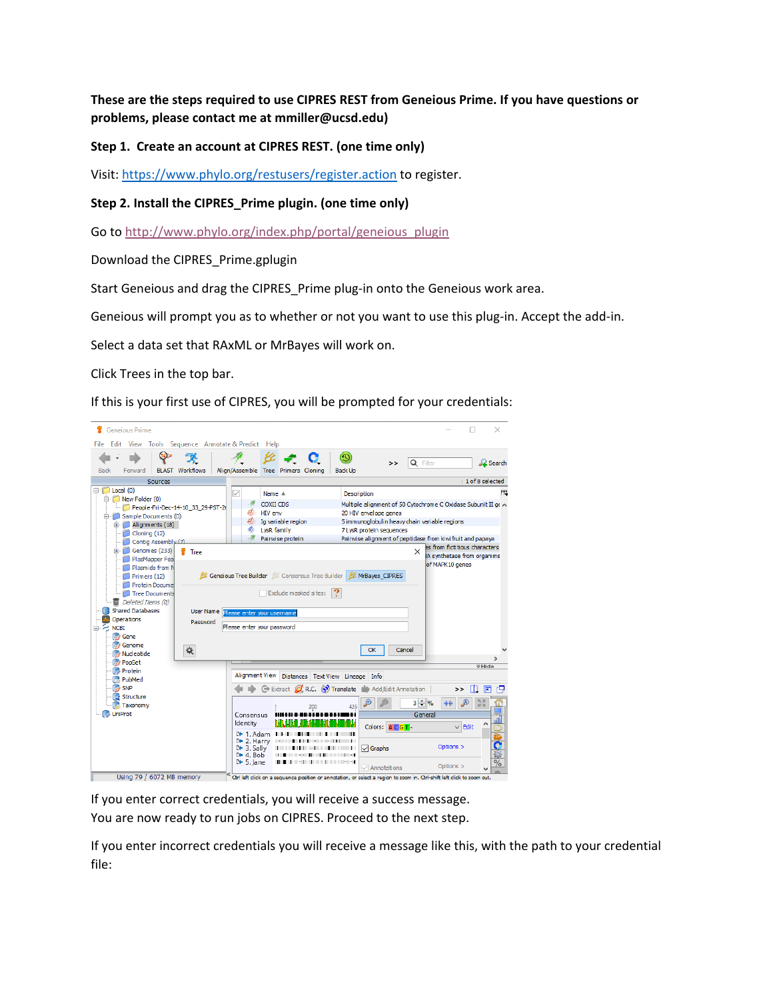**These are the steps required to use CIPRES REST from Geneious Prime. If you have questions or problems, please contact me at mmiller@ucsd.edu)**

**Step 1. Create an account at CIPRES REST. (one time only)**

Visit[: https://www.phylo.org/restusers/register.action](https://www.phylo.org/restusers/register.action) to register.

**Step 2. Install the CIPRES\_Prime plugin. (one time only)**

Go to [http://www.phylo.org/index.php/portal/geneious\\_plugin](http://www.phylo.org/index.php/portal/geneious_plugin)

Download the CIPRES\_Prime.gplugin

Start Geneious and drag the CIPRES\_Prime plug-in onto the Geneious work area.

Geneious will prompt you as to whether or not you want to use this plug-in. Accept the add-in.

Select a data set that RAxML or MrBayes will work on.

Click Trees in the top bar.

If this is your first use of CIPRES, you will be prompted for your credentials:



If you enter correct credentials, you will receive a success message. You are now ready to run jobs on CIPRES. Proceed to the next step.

If you enter incorrect credentials you will receive a message like this, with the path to your credential file: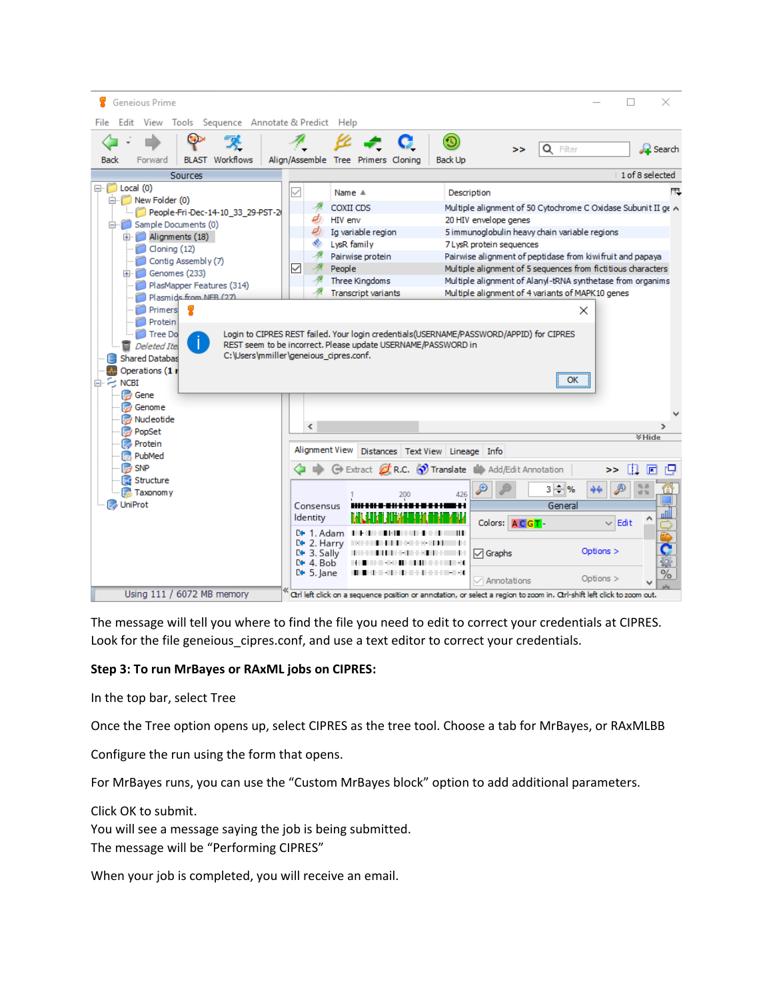| Geneious Prime                                                                                                                                                                                                                                                                                                                                                              |                                                                                                                                                                                                                                                                                                                                                                                                                                                                                                                                                                                                                                                                                                                                                                                                                         | ×               |
|-----------------------------------------------------------------------------------------------------------------------------------------------------------------------------------------------------------------------------------------------------------------------------------------------------------------------------------------------------------------------------|-------------------------------------------------------------------------------------------------------------------------------------------------------------------------------------------------------------------------------------------------------------------------------------------------------------------------------------------------------------------------------------------------------------------------------------------------------------------------------------------------------------------------------------------------------------------------------------------------------------------------------------------------------------------------------------------------------------------------------------------------------------------------------------------------------------------------|-----------------|
| Edit<br>View Tools Sequence Annotate & Predict Help<br>File                                                                                                                                                                                                                                                                                                                 |                                                                                                                                                                                                                                                                                                                                                                                                                                                                                                                                                                                                                                                                                                                                                                                                                         |                 |
| <b>BLAST</b> Workflows<br>Forward<br>Back                                                                                                                                                                                                                                                                                                                                   | O)<br>Q Filter<br>><br>Alian/Assemble Tree Primers Cloning<br><b>Back Up</b>                                                                                                                                                                                                                                                                                                                                                                                                                                                                                                                                                                                                                                                                                                                                            | <b>R</b> Search |
| Sources                                                                                                                                                                                                                                                                                                                                                                     |                                                                                                                                                                                                                                                                                                                                                                                                                                                                                                                                                                                                                                                                                                                                                                                                                         | 1 of 8 selected |
| $\Box$ $\Box$ Local (0)<br>in New Folder (0)<br>People-Fri-Dec-14-10_33_29-PST-2<br>G. Sample Documents (0)<br>Alignments (18)<br>Cloning (12)<br>Contig Assembly (7)<br>E- Genomes (233)<br>PlasMapper Features (314)<br>Plasmids from NER (27)<br>Primers<br>φ<br>Protein<br><b>Tree Do</b><br>Deleted Itel<br><b>Shared Databas</b><br>Operations (1 r<br>$\approx$ NCBI | Name A<br>Description<br>COXII CDS<br>Multiple alignment of 50 Cytochrome C Oxidase Subunit II ge A<br>HIV env<br>20 HIV envelope genes<br>Ig variable region<br>5 immunoglobulin heavy chain variable regions<br>LysR family<br>7 LysR protein sequences<br>Pairwise protein<br>Pairwise alignment of peptidase from kiwifruit and papaya<br>$\checkmark$<br>Multiple alignment of 5 sequences from fictitious characters<br>People<br>Three Kingdoms<br>Multiple alignment of Alanyl-tRNA synthetase from organims<br><b>Transcript variants</b><br>Multiple alignment of 4 variants of MAPK10 genes<br>×<br>Login to CIPRES REST failed. Your login credentials(USERNAME/PASSWORD/APPID) for CIPRES<br>REST seem to be incorrect. Please update USERNAME/PASSWORD in<br>C:\Users\mmiller\geneious_cipres.conf.<br>ОК | 甩               |
| <b>A</b> Genome<br><b>A</b> Nucleotide                                                                                                                                                                                                                                                                                                                                      | $\overline{\phantom{a}}$                                                                                                                                                                                                                                                                                                                                                                                                                                                                                                                                                                                                                                                                                                                                                                                                |                 |
| <b>PopSet</b><br><b>Protein</b>                                                                                                                                                                                                                                                                                                                                             |                                                                                                                                                                                                                                                                                                                                                                                                                                                                                                                                                                                                                                                                                                                                                                                                                         | <b>VHide</b>    |
| PubMed                                                                                                                                                                                                                                                                                                                                                                      | Alignment View Distances   Text View   Lineage   Info                                                                                                                                                                                                                                                                                                                                                                                                                                                                                                                                                                                                                                                                                                                                                                   |                 |
| $\rightarrow$ SNP                                                                                                                                                                                                                                                                                                                                                           | Extract <b>of R.C.</b> Translate <b>N</b> Add/Edit Annotation<br>>>                                                                                                                                                                                                                                                                                                                                                                                                                                                                                                                                                                                                                                                                                                                                                     | Ш<br>匠          |
| Structure<br><b>Taxonomy</b>                                                                                                                                                                                                                                                                                                                                                | $3 - $ %<br>426                                                                                                                                                                                                                                                                                                                                                                                                                                                                                                                                                                                                                                                                                                                                                                                                         | 55              |
| <b>Joseph UniProt</b>                                                                                                                                                                                                                                                                                                                                                       | General<br>Consensus<br>ldentity<br>Colors: ACGT-<br>$\vee$ Edit<br>$E + 1$ . Adam III<br>D+ 2.Harry ⊪⊪⊪⊪<br>.<br>Options $>$<br>Ll• 3. Sally<br>$\sqrt{ }$ Graphs<br>$E + 4$ . Bob<br>$\geq 5$ . Jane<br>1999 - De Bernard Bernard Bernard<br>Options $>$<br>$\sqrt{}$ Annotations                                                                                                                                                                                                                                                                                                                                                                                                                                                                                                                                     | $\%$            |
| Using 111 / 6072 MB memory                                                                                                                                                                                                                                                                                                                                                  | Otrl left click on a sequence position or annotation, or select a region to zoom in. Otrl-shift left click to zoom out.                                                                                                                                                                                                                                                                                                                                                                                                                                                                                                                                                                                                                                                                                                 |                 |

The message will tell you where to find the file you need to edit to correct your credentials at CIPRES. Look for the file geneious cipres.conf, and use a text editor to correct your credentials.

## **Step 3: To run MrBayes or RAxML jobs on CIPRES:**

In the top bar, select Tree

Once the Tree option opens up, select CIPRES as the tree tool. Choose a tab for MrBayes, or RAxMLBB

Configure the run using the form that opens.

For MrBayes runs, you can use the "Custom MrBayes block" option to add additional parameters.

Click OK to submit.

You will see a message saying the job is being submitted. The message will be "Performing CIPRES"

When your job is completed, you will receive an email.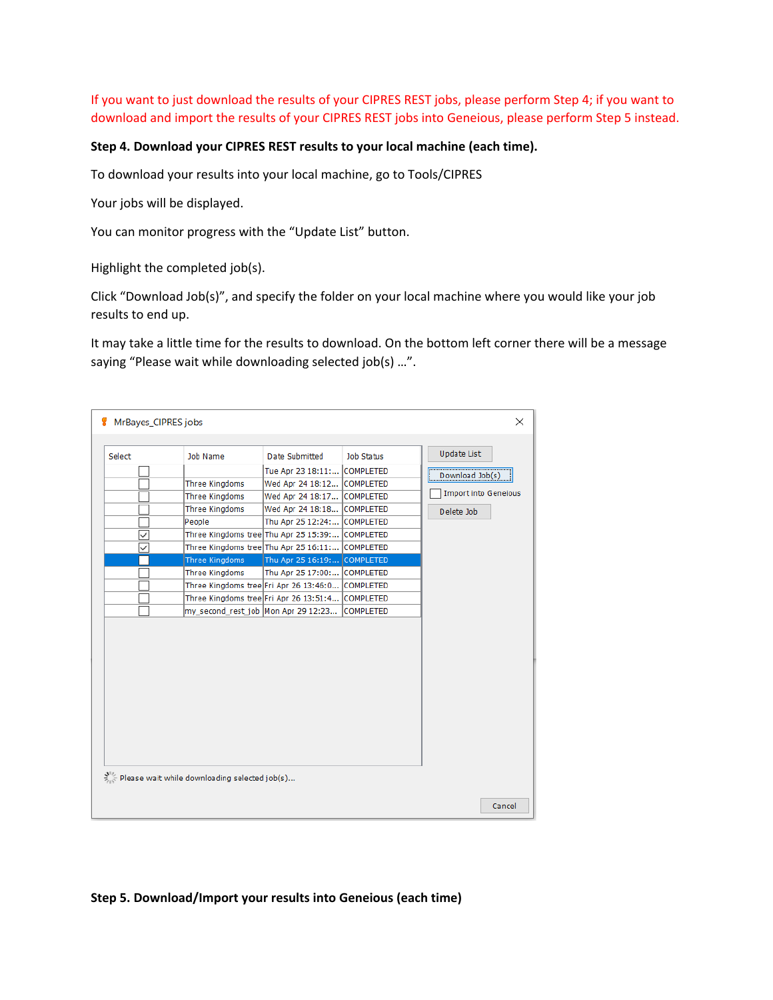If you want to just download the results of your CIPRES REST jobs, please perform Step 4; if you want to download and import the results of your CIPRES REST jobs into Geneious, please perform Step 5 instead.

## **Step 4. Download your CIPRES REST results to your local machine (each time).**

To download your results into your local machine, go to Tools/CIPRES

Your jobs will be displayed.

You can monitor progress with the "Update List" button.

Highlight the completed job(s).

Click "Download Job(s)", and specify the folder on your local machine where you would like your job results to end up.

It may take a little time for the results to download. On the bottom left corner there will be a message saying "Please wait while downloading selected job(s) …".

| Select | Job Name                                           | Date Submitted                                   | Job Status | <b>Update List</b>          |
|--------|----------------------------------------------------|--------------------------------------------------|------------|-----------------------------|
|        |                                                    | Tue Apr 23 18:11: COMPLETED                      |            | Download Job(s)             |
|        | Three Kingdoms                                     | Wed Apr 24 18:12 COMPLETED                       |            |                             |
|        | Three Kingdoms                                     | Wed Apr 24 18:17 COMPLETED                       |            | <b>Import into Geneious</b> |
|        | Three Kingdoms                                     | Wed Apr 24 18:18 COMPLETED                       |            | Delete Job                  |
|        | People                                             | Thu Apr 25 12:24: COMPLETED                      |            |                             |
| ✓      |                                                    | Three Kingdoms tree Thu Apr 25 15:39: COMPLETED  |            |                             |
| ✓      |                                                    | Three Kingdoms tree Thu Apr 25 16:11: COMPLETED  |            |                             |
|        | Three Kingdoms                                     | Thu Apr 25 16:19: COMPLETED                      |            |                             |
|        | Three Kingdoms                                     | Thu Apr 25 17:00: COMPLETED                      |            |                             |
|        |                                                    | Three Kingdoms tree Fri Apr 26 13:46:0 COMPLETED |            |                             |
|        |                                                    | Three Kingdoms tree Fri Apr 26 13:51:4 COMPLETED |            |                             |
|        |                                                    | my_second_rest_job Mon Apr 29 12:23 COMPLETED    |            |                             |
|        |                                                    |                                                  |            |                             |
|        | plic Please wait while downloading selected job(s) |                                                  |            |                             |

## **Step 5. Download/Import your results into Geneious (each time)**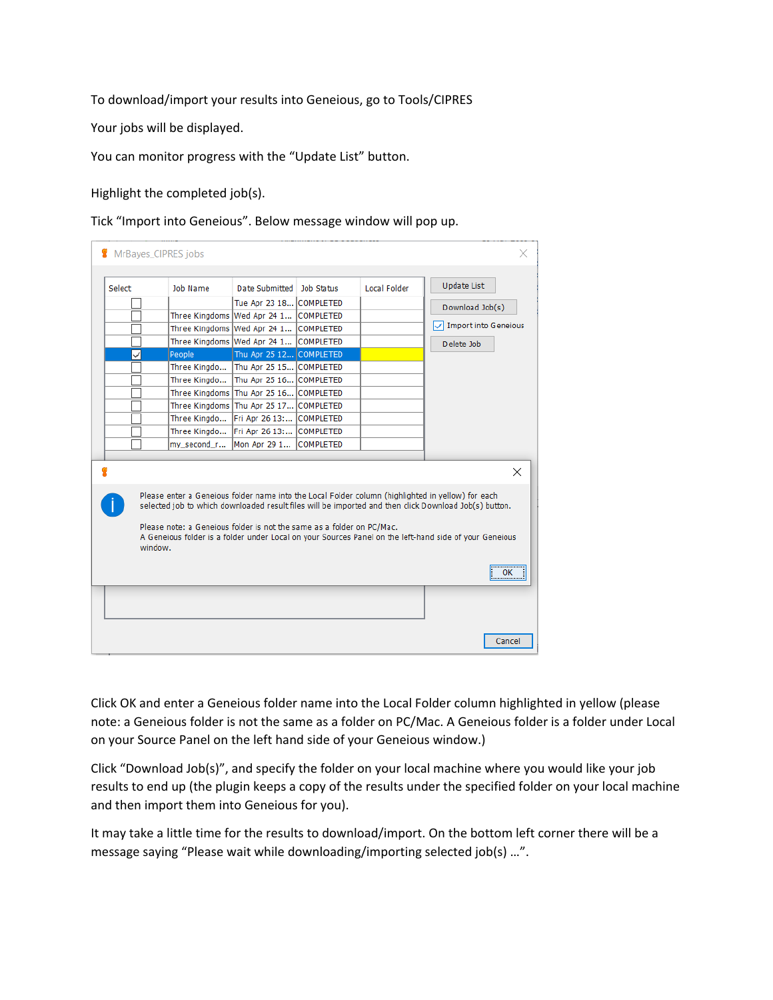To download/import your results into Geneious, go to Tools/CIPRES

Your jobs will be displayed.

You can monitor progress with the "Update List" button.

Highlight the completed job(s).

Tick "Import into Geneious". Below message window will pop up.

| Select | Job Name                                                                                                                                                                              | Date Submitted                         | lob Status       | Local Folder | <b>Update List</b>                                                                                                                                                                                                          |
|--------|---------------------------------------------------------------------------------------------------------------------------------------------------------------------------------------|----------------------------------------|------------------|--------------|-----------------------------------------------------------------------------------------------------------------------------------------------------------------------------------------------------------------------------|
|        |                                                                                                                                                                                       | Tue Apr 23 18 COMPLETED                |                  |              |                                                                                                                                                                                                                             |
|        |                                                                                                                                                                                       | Three Kingdoms Wed Apr 24 1 COMPLETED  |                  |              | Download Job(s)                                                                                                                                                                                                             |
|        | Three Kingdoms Wed Apr 24 1                                                                                                                                                           |                                        | <b>COMPLETED</b> |              | Import into Geneious                                                                                                                                                                                                        |
|        |                                                                                                                                                                                       | Three Kingdoms Wed Apr 24 1 COMPLETED  |                  |              | Delete Job                                                                                                                                                                                                                  |
| ✓      | People                                                                                                                                                                                | Thu Apr 25 12 COMPLETED                |                  |              |                                                                                                                                                                                                                             |
|        | Three Kingdo                                                                                                                                                                          | Thu Apr 25 15 COMPLETED                |                  |              |                                                                                                                                                                                                                             |
|        | Three Kingdo                                                                                                                                                                          | Thu Apr 25 16 COMPLETED                |                  |              |                                                                                                                                                                                                                             |
|        |                                                                                                                                                                                       | Three Kingdoms Thu Apr 25 16 COMPLETED |                  |              |                                                                                                                                                                                                                             |
|        |                                                                                                                                                                                       | Three Kingdoms Thu Apr 25 17 COMPLETED |                  |              |                                                                                                                                                                                                                             |
|        | Three Kingdo                                                                                                                                                                          | Fri Apr 26 13:                         | <b>COMPLETED</b> |              |                                                                                                                                                                                                                             |
|        | Three Kingdo                                                                                                                                                                          | Fri Apr 26 13:                         | <b>COMPLETED</b> |              |                                                                                                                                                                                                                             |
|        | my second r                                                                                                                                                                           | Mon Apr 29 1                           | <b>COMPLETED</b> |              |                                                                                                                                                                                                                             |
|        |                                                                                                                                                                                       |                                        |                  |              |                                                                                                                                                                                                                             |
|        | Please enter a Geneious folder name into the Local Folder column (highlighted in yellow) for each<br>Please note: a Geneious folder is not the same as a folder on PC/Mac.<br>window. |                                        |                  |              | $\times$<br>selected job to which downloaded result files will be imported and then click Download Job(s) button.<br>A Geneious folder is a folder under Local on your Sources Panel on the left-hand side of your Geneious |

Click OK and enter a Geneious folder name into the Local Folder column highlighted in yellow (please note: a Geneious folder is not the same as a folder on PC/Mac. A Geneious folder is a folder under Local on your Source Panel on the left hand side of your Geneious window.)

Click "Download Job(s)", and specify the folder on your local machine where you would like your job results to end up (the plugin keeps a copy of the results under the specified folder on your local machine and then import them into Geneious for you).

It may take a little time for the results to download/import. On the bottom left corner there will be a message saying "Please wait while downloading/importing selected job(s) …".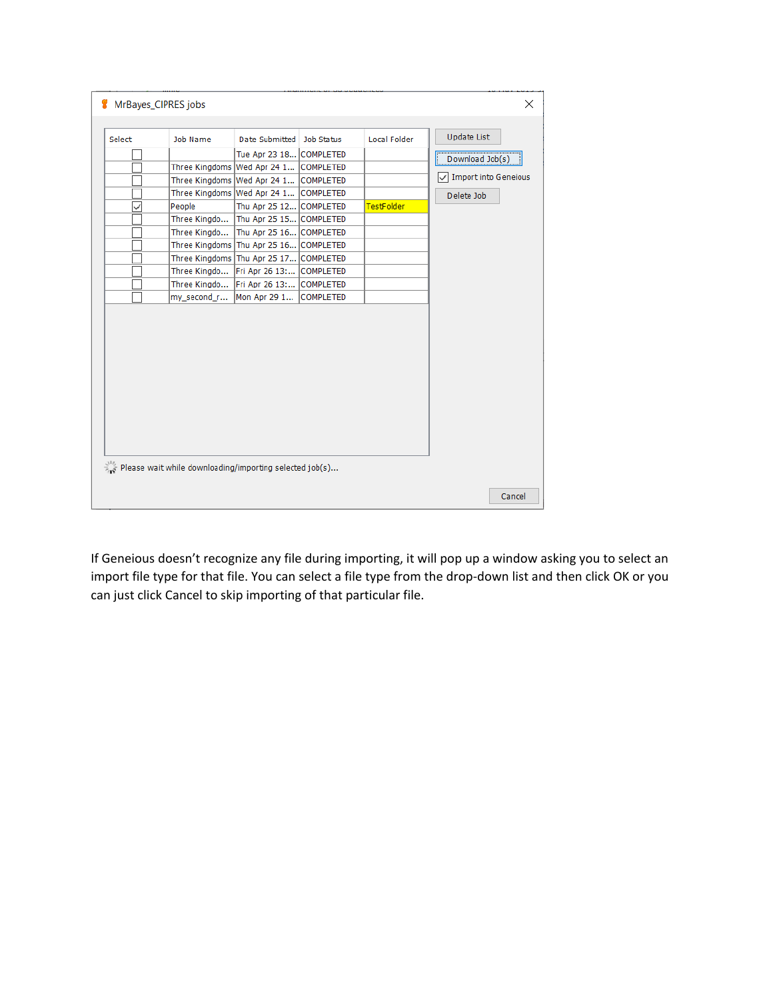| Select | Job Name     | Date Submitted   Job Status            | Local Folder | <b>Update List</b>   |
|--------|--------------|----------------------------------------|--------------|----------------------|
|        |              | Tue Apr 23 18 COMPLETED                |              |                      |
|        |              | Three Kingdoms Wed Apr 24 1 COMPLETED  |              | Download Job(s)      |
|        |              | Three Kingdoms Wed Apr 24 1 COMPLETED  |              | Import into Geneious |
|        |              | Three Kingdoms Wed Apr 24 1 COMPLETED  |              | Delete Job           |
|        | People       | Thu Apr 25 12 COMPLETED                | TestFolder   |                      |
|        | Three Kingdo | Thu Apr 25 15 COMPLETED                |              |                      |
|        | Three Kingdo | Thu Apr 25 16 COMPLETED                |              |                      |
|        |              | Three Kingdoms Thu Apr 25 16 COMPLETED |              |                      |
|        |              | Three Kingdoms Thu Apr 25 17 COMPLETED |              |                      |
|        | Three Kingdo | Fri Apr 26 13: COMPLETED               |              |                      |
|        | Three Kingdo | Fri Apr 26 13: COMPLETED               |              |                      |
|        | my_second_r  | Mon Apr 29 1 COMPLETED                 |              |                      |
|        |              |                                        |              |                      |
|        |              |                                        |              |                      |

If Geneious doesn't recognize any file during importing, it will pop up a window asking you to select an import file type for that file. You can select a file type from the drop-down list and then click OK or you can just click Cancel to skip importing of that particular file.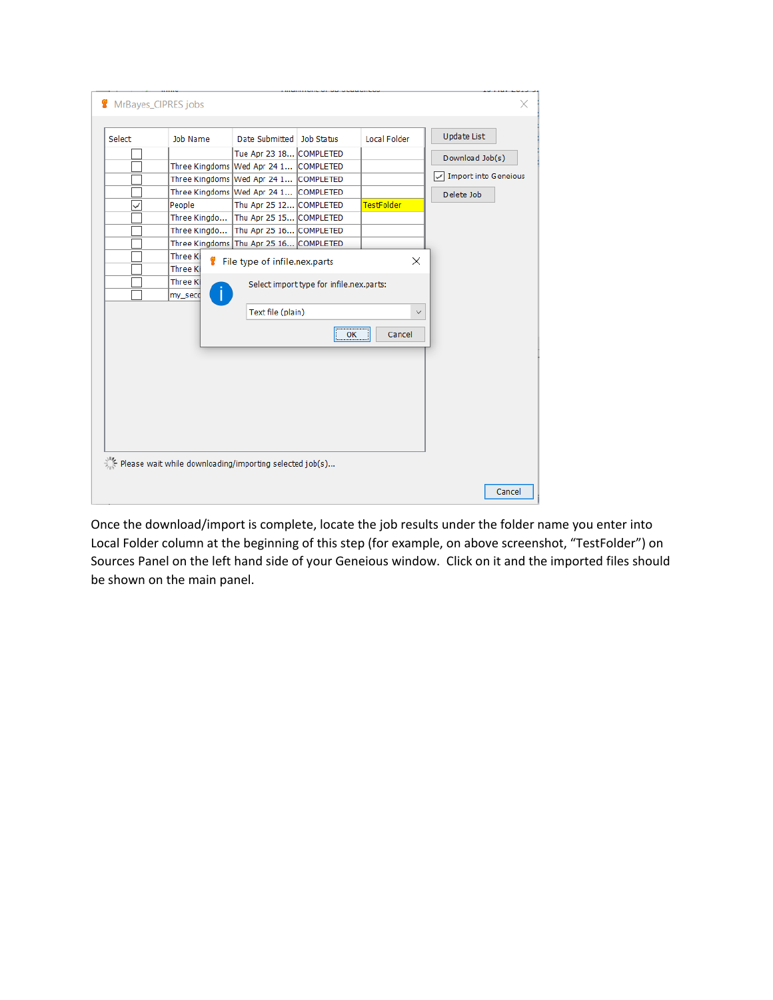| Select | Job Name                   | Date Submitted   Job Status            |                                          | <b>Local Folder</b> | <b>Update List</b>   |
|--------|----------------------------|----------------------------------------|------------------------------------------|---------------------|----------------------|
|        |                            | Tue Apr 23 18 COMPLETED                |                                          |                     | Download Job(s)      |
|        |                            | Three Kingdoms Wed Apr 24 1 COMPLETED  |                                          |                     |                      |
|        |                            | Three Kingdoms Wed Apr 24 1 COMPLETED  |                                          |                     | Import into Geneious |
|        |                            | Three Kingdoms Wed Apr 24 1 COMPLETED  |                                          |                     | Delete Job           |
|        | People                     | Thu Apr 25 12 COMPLETED                |                                          | <b>TestFolder</b>   |                      |
|        | Three Kingdo               | Thu Apr 25 15 COMPLETED                |                                          |                     |                      |
|        | Three Kingdo               | Thu Apr 25 16 COMPLETED                |                                          |                     |                      |
|        |                            | Three Kingdoms Thu Apr 25 16 COMPLETED |                                          |                     |                      |
|        | Three K<br><b>Three K</b>  | File type of infile.nex.parts          |                                          | ×                   |                      |
|        | <b>Three Ki</b><br>my_seco |                                        | Select import type for infile.nex.parts: |                     |                      |
|        |                            | Text file (plain)                      |                                          | $\checkmark$        |                      |
|        |                            |                                        | OK                                       | Cancel              |                      |
|        |                            |                                        |                                          |                     |                      |
|        |                            |                                        |                                          |                     |                      |
|        |                            |                                        |                                          |                     |                      |
|        |                            |                                        |                                          |                     |                      |
|        |                            |                                        |                                          |                     |                      |
|        |                            |                                        |                                          |                     |                      |

Once the download/import is complete, locate the job results under the folder name you enter into Local Folder column at the beginning of this step (for example, on above screenshot, "TestFolder") on Sources Panel on the left hand side of your Geneious window. Click on it and the imported files should be shown on the main panel.